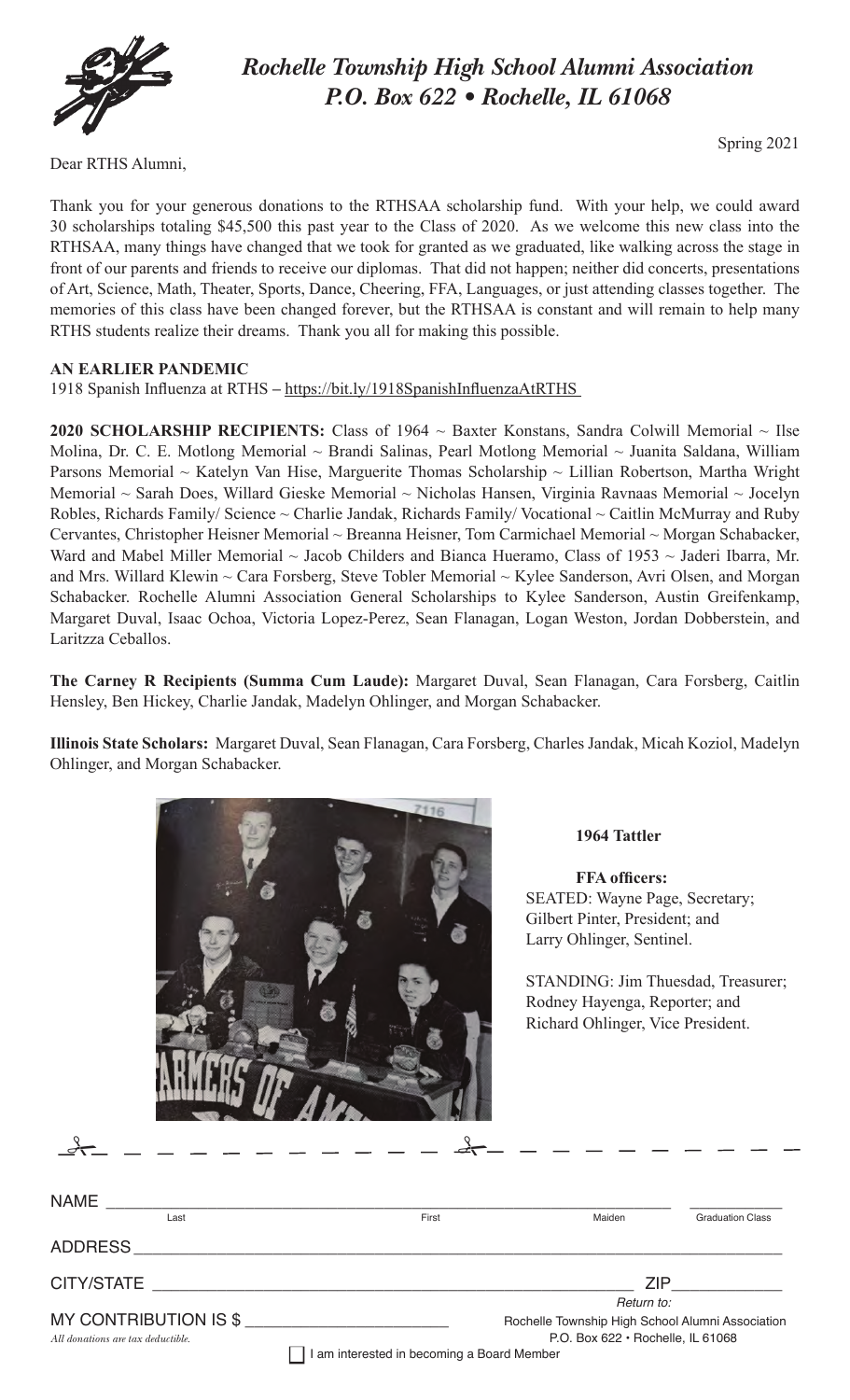

# *Rochelle Township High School Alumni Association P.O. Box 622 • Rochelle, IL 61068*

Dear RTHS Alumni,

Spring 2021

Thank you for your generous donations to the RTHSAA scholarship fund. With your help, we could award 30 scholarships totaling \$45,500 this past year to the Class of 2020. As we welcome this new class into the RTHSAA, many things have changed that we took for granted as we graduated, like walking across the stage in front of our parents and friends to receive our diplomas. That did not happen; neither did concerts, presentations of Art, Science, Math, Theater, Sports, Dance, Cheering, FFA, Languages, or just attending classes together. The memories of this class have been changed forever, but the RTHSAA is constant and will remain to help many RTHS students realize their dreams. Thank you all for making this possible.

## **AN EARLIER PANDEMIC**

1918 Spanish Influenza at RTHS **–** https://bit.ly/1918SpanishInfluenzaAtRTHS

2020 SCHOLARSHIP RECIPIENTS: Class of 1964 ~ Baxter Konstans, Sandra Colwill Memorial ~ Ilse Molina, Dr. C. E. Motlong Memorial ~ Brandi Salinas, Pearl Motlong Memorial ~ Juanita Saldana, William Parsons Memorial ~ Katelyn Van Hise, Marguerite Thomas Scholarship ~ Lillian Robertson, Martha Wright Memorial ~ Sarah Does, Willard Gieske Memorial ~ Nicholas Hansen, Virginia Ravnaas Memorial ~ Jocelyn Robles, Richards Family/ Science ~ Charlie Jandak, Richards Family/ Vocational ~ Caitlin McMurray and Ruby Cervantes, Christopher Heisner Memorial ~ Breanna Heisner, Tom Carmichael Memorial ~ Morgan Schabacker, Ward and Mabel Miller Memorial ~ Jacob Childers and Bianca Hueramo, Class of 1953 ~ Jaderi Ibarra, Mr. and Mrs. Willard Klewin ~ Cara Forsberg, Steve Tobler Memorial ~ Kylee Sanderson, Avri Olsen, and Morgan Schabacker. Rochelle Alumni Association General Scholarships to Kylee Sanderson, Austin Greifenkamp, Margaret Duval, Isaac Ochoa, Victoria Lopez-Perez, Sean Flanagan, Logan Weston, Jordan Dobberstein, and Laritzza Ceballos.

**The Carney R Recipients (Summa Cum Laude):** Margaret Duval, Sean Flanagan, Cara Forsberg, Caitlin Hensley, Ben Hickey, Charlie Jandak, Madelyn Ohlinger, and Morgan Schabacker.

**Illinois State Scholars:** Margaret Duval, Sean Flanagan, Cara Forsberg, Charles Jandak, Micah Koziol, Madelyn Ohlinger, and Morgan Schabacker.



# #

#### **1964 Tattler**

 **FFA officers:** SEATED: Wayne Page, Secretary; Gilbert Pinter, President; and Larry Ohlinger, Sentinel.

STANDING: Jim Thuesdad, Treasurer; Rodney Hayenga, Reporter; and Richard Ohlinger, Vice President.

| <b>NAME</b>                                                |                                               |                                                                                               |                         |  |
|------------------------------------------------------------|-----------------------------------------------|-----------------------------------------------------------------------------------------------|-------------------------|--|
| Last                                                       | First                                         | Maiden                                                                                        | <b>Graduation Class</b> |  |
|                                                            |                                               |                                                                                               |                         |  |
| CITY/STATE                                                 | <u> 1980 - Jan Samuel Barbara, margaret e</u> | <b>ZIP</b>                                                                                    |                         |  |
|                                                            |                                               | Return to:                                                                                    |                         |  |
| MY CONTRIBUTION IS \$<br>All donations are tax deductible. |                                               | Rochelle Township High School Alumni Association<br>P.O. Box $622 \cdot$ Rochelle, IL $61068$ |                         |  |
|                                                            | I am interested in becoming a Board Member    |                                                                                               |                         |  |